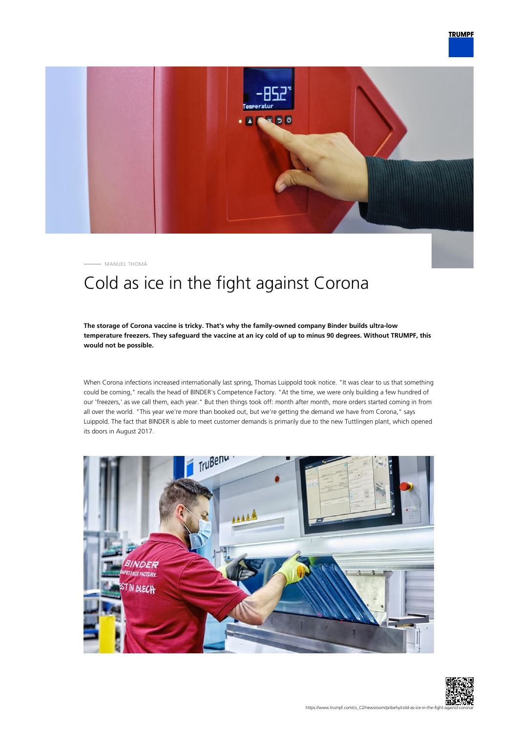

MANUEL THOMÄ

# Cold as ice in the fight against Corona

### **The storage of Corona vaccine is tricky. That's why the family-owned company Binder builds ultra-low temperature freezers. They safeguard the vaccine at an icy cold of up to minus 90 degrees. Without TRUMPF, this would not be possible.**

When Corona infections increased internationally last spring, Thomas Luippold took notice. "It was clear to us that something could be coming," recalls the head of BINDER's Competence Factory. "At the time, we were only building a few hundred of our 'freezers,' as we call them, each year." But then things took off: month after month, more orders started coming in from all over the world. "This year we're more than booked out, but we're getting the demand we have from Corona," says Luippold. The fact that BINDER is able to meet customer demands is primarily due to the new Tuttlingen plant, which opened its doors in August 2017.



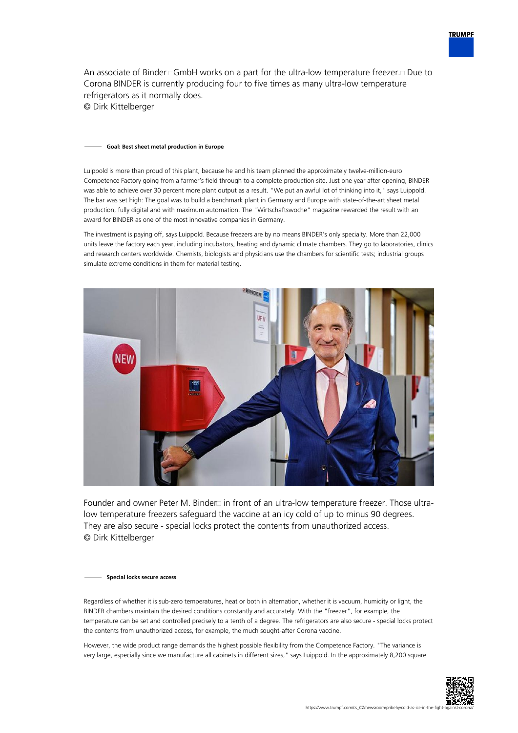

An associate of Binder  $\Box$ GmbH works on a part for the ultra-low temperature freezer. $\Box$  Due to Corona BINDER is currently producing four to five times as many ultra-low temperature refrigerators as it normally does. © Dirk Kittelberger

#### **Goal: Best sheet metal production in Europe**

Luippold is more than proud of this plant, because he and his team planned the approximately twelve-million-euro Competence Factory going from a farmer's field through to a complete production site. Just one year after opening, BINDER was able to achieve over 30 percent more plant output as a result. "We put an awful lot of thinking into it," says Luippold. The bar was set high: The goal was to build a benchmark plant in Germany and Europe with state-of-the-art sheet metal production, fully digital and with maximum automation. The "Wirtschaftswoche" magazine rewarded the result with an award for BINDER as one of the most innovative companies in Germany.

The investment is paying off, says Luippold. Because freezers are by no means BINDER's only specialty. More than 22,000 units leave the factory each year, including incubators, heating and dynamic climate chambers. They go to laboratories, clinics and research centers worldwide. Chemists, biologists and physicians use the chambers for scientific tests; industrial groups simulate extreme conditions in them for material testing.



Founder and owner Peter M. Binder in front of an ultra-low temperature freezer. Those ultralow temperature freezers safeguard the vaccine at an icy cold of up to minus 90 degrees. They are also secure - special locks protect the contents from unauthorized access. © Dirk Kittelberger

#### **Special locks secure access**

Regardless of whether it is sub-zero temperatures, heat or both in alternation, whether it is vacuum, humidity or light, the BINDER chambers maintain the desired conditions constantly and accurately. With the "freezer", for example, the temperature can be set and controlled precisely to a tenth of a degree. The refrigerators are also secure - special locks protect the contents from unauthorized access, for example, the much sought-after Corona vaccine.

However, the wide product range demands the highest possible flexibility from the Competence Factory. "The variance is very large, especially since we manufacture all cabinets in different sizes," says Luippold. In the approximately 8,200 square

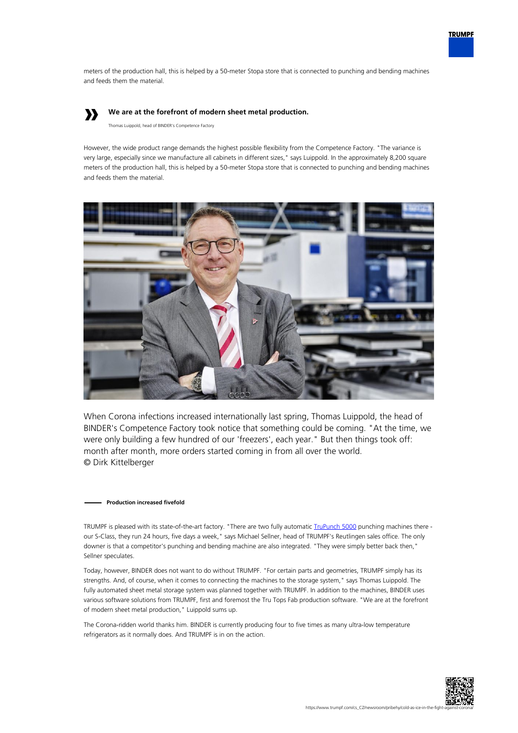

meters of the production hall, this is helped by a 50-meter Stopa store that is connected to punching and bending machines and feeds them the material.

# **»**

## **We are at the forefront of modern sheet metal production.**

Thomas Luippold, head of BINDER's Competence Factory

However, the wide product range demands the highest possible flexibility from the Competence Factory. "The variance is very large, especially since we manufacture all cabinets in different sizes," says Luippold. In the approximately 8,200 square meters of the production hall, this is helped by a 50-meter Stopa store that is connected to punching and bending machines and feeds them the material.



When Corona infections increased internationally last spring, Thomas Luippold, the head of BINDER's Competence Factory took notice that something could be coming. "At the time, we were only building a few hundred of our 'freezers', each year." But then things took off: month after month, more orders started coming in from all over the world. © Dirk Kittelberger

#### **Production increased fivefold**

TRUMPF is pleased with its state-of-the-art factory. "There are two fully automatic *TruPunch 5000* punching machines there our S-Class, they run 24 hours, five days a week," says Michael Sellner, head of TRUMPF's Reutlingen sales office. The only downer is that a competitor's punching and bending machine are also integrated. "They were simply better back then," Sellner speculates.

Today, however, BINDER does not want to do without TRUMPF. "For certain parts and geometries, TRUMPF simply has its strengths. And, of course, when it comes to connecting the machines to the storage system," says Thomas Luippold. The fully automated sheet metal storage system was planned together with TRUMPF. In addition to the machines, BINDER uses various software solutions from TRUMPF, first and foremost the Tru Tops Fab production software. "We are at the forefront of modern sheet metal production," Luippold sums up.

The Corona-ridden world thanks him. BINDER is currently producing four to five times as many ultra-low temperature refrigerators as it normally does. And TRUMPF is in on the action.